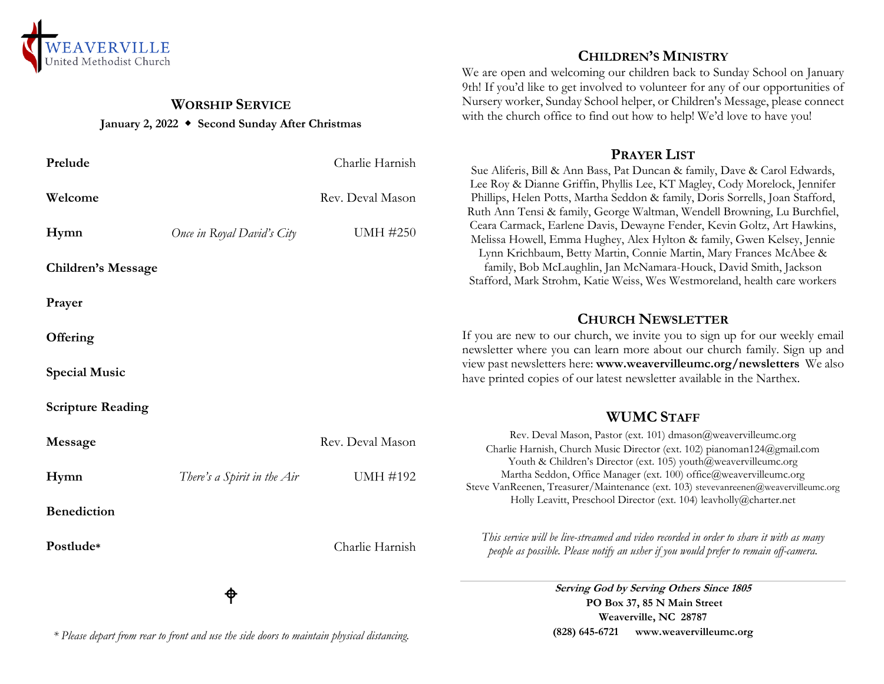

# **WORSHIP SERVICE January 2, 2022 Second Sunday After Christmas**

|                           | ₱                           |                  | Serving God by Serving Others Since 1805<br>PO Box 37, 85 N Main Street                                                                                                                                                       |
|---------------------------|-----------------------------|------------------|-------------------------------------------------------------------------------------------------------------------------------------------------------------------------------------------------------------------------------|
| Postlude*                 |                             | Charlie Harnish  | This service will be live-streamed and video recorded in order to share it with as many<br>people as possible. Please notify an usher if you would prefer to remain off-camera.                                               |
| <b>Benediction</b>        |                             |                  | Holly Leavitt, Preschool Director (ext. 104) leavholly@charter.net                                                                                                                                                            |
| Hymn                      | There's a Spirit in the Air | <b>UMH #192</b>  | Youth & Children's Director (ext. 105) youth@weavervilleumc.org<br>Martha Seddon, Office Manager (ext. 100) office@weavervilleumc.org<br>Steve VanReenen, Treasurer/Maintenance (ext. 103) stevevanreenen@weavervilleumc.org  |
| Message                   |                             | Rev. Deval Mason | Rev. Deval Mason, Pastor (ext. 101) dmason@weavervilleumc.org<br>Charlie Harnish, Church Music Director (ext. 102) pianoman124@gmail.com                                                                                      |
| <b>Scripture Reading</b>  |                             |                  | <b>WUMC STAFF</b>                                                                                                                                                                                                             |
| <b>Special Music</b>      |                             |                  | view past newsletters here: www.weavervilleumc.org/newsletters We also<br>have printed copies of our latest newsletter available in the Narthex.                                                                              |
| Offering                  |                             |                  | If you are new to our church, we invite you to sign up for our weekly emai<br>newsletter where you can learn more about our church family. Sign up and                                                                        |
| Prayer                    |                             |                  | <b>CHURCH NEWSLETTER</b>                                                                                                                                                                                                      |
| <b>Children's Message</b> |                             |                  | Lynn Krichbaum, Betty Martin, Connie Martin, Mary Frances McAbee &<br>family, Bob McLaughlin, Jan McNamara-Houck, David Smith, Jackson<br>Stafford, Mark Strohm, Katie Weiss, Wes Westmoreland, health care workers           |
| Hymn                      | Once in Royal David's City  | <b>UMH #250</b>  | Ruth Ann Tensi & family, George Waltman, Wendell Browning, Lu Burchfiel,<br>Ceara Carmack, Earlene Davis, Dewayne Fender, Kevin Goltz, Art Hawkins,<br>Melissa Howell, Emma Hughey, Alex Hylton & family, Gwen Kelsey, Jennie |
| Welcome                   |                             | Rev. Deval Mason | Lee Roy & Dianne Griffin, Phyllis Lee, KT Magley, Cody Morelock, Jennifer<br>Phillips, Helen Potts, Martha Seddon & family, Doris Sorrells, Joan Stafford,                                                                    |
| Prelude                   |                             | Charlie Harnish  | Sue Aliferis, Bill & Ann Bass, Pat Duncan & family, Dave & Carol Edwards,                                                                                                                                                     |

*\* Please depart from rear to front and use the side doors to maintain physical distancing.*

**CHILDREN'S MINISTRY**

We are open and welcoming our children back to Sunday School on January 9th! If you'd like to get involved to volunteer for any of our opportunities of Nursery worker, Sunday School helper, or Children's Message, please connect with the church office to find out how to help! We'd love to have you!

# **PRAYER LIST**

### **CHURCH NEWSLETTER**

# **WUMC STAFF**

*people as possible. Please notify an usher if you would prefer to remain off-camera.* **Serving Others Since 1805 PO Box 37, 85 N Main Street Weaverville, NC 28787 (828) 645-6721 [www.weavervilleumc.org](http://www.weavervilleumc.org/)**